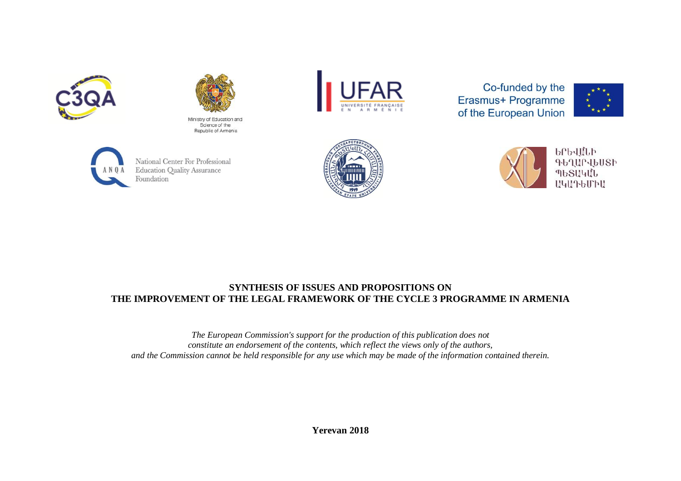



Ministry of Education and Science of the Republic of Armenia



Co-funded by the Erasmus+ Programme of the European Union





National Center For Professional **Education Quality Assurance** Foundation





**brb4ULb** ԳԵՂԱՐՎԵՍՏԻ **MbSU4UU U4U76U70U** 

## **SYNTHESIS OF ISSUES AND PROPOSITIONS ON THE IMPROVEMENT OF THE LEGAL FRAMEWORK OF THE CYCLE 3 PROGRAMME IN ARMENIA**

*The European Commission's support for the production of this publication does not constitute an endorsement of the contents, which reflect the views only of the authors, and the Commission cannot be held responsible for any use which may be made of the information contained therein.*

**Yerevan 2018**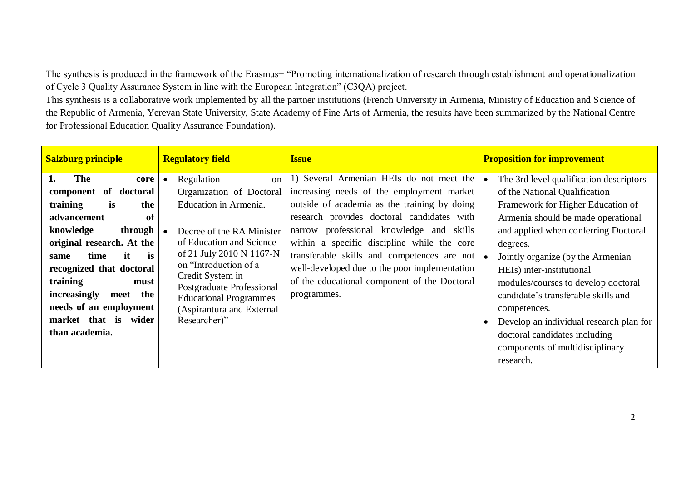The synthesis is produced in the framework of the Erasmus+ "Promoting internationalization of research through establishment and operationalization of Cycle 3 Quality Assurance System in line with the European Integration" (C3QA) project.

This synthesis is a collaborative work implemented by all the partner institutions (French University in Armenia, Ministry of Education and Science of the Republic of Armenia, Yerevan State University, State Academy of Fine Arts of Armenia, the results have been summarized by the National Centre for Professional Education Quality Assurance Foundation).

| <b>Salzburg principle</b>                                                                                                                                                                                                                                                                                                    | <b>Regulatory field</b>                                                                                                                                                                                                                                                                                                               | <b>Issue</b>                                                                                                                                                                                                                                                                                                                                                                                                                                            | <b>Proposition for improvement</b>                                                                                                                                                                                                                                                                                                                                                                                                                                                                  |
|------------------------------------------------------------------------------------------------------------------------------------------------------------------------------------------------------------------------------------------------------------------------------------------------------------------------------|---------------------------------------------------------------------------------------------------------------------------------------------------------------------------------------------------------------------------------------------------------------------------------------------------------------------------------------|---------------------------------------------------------------------------------------------------------------------------------------------------------------------------------------------------------------------------------------------------------------------------------------------------------------------------------------------------------------------------------------------------------------------------------------------------------|-----------------------------------------------------------------------------------------------------------------------------------------------------------------------------------------------------------------------------------------------------------------------------------------------------------------------------------------------------------------------------------------------------------------------------------------------------------------------------------------------------|
| The<br>1.<br>core<br>component of doctoral<br>training<br>is<br>the<br>advancement<br>of<br>knowledge<br>through<br>original research. At the<br>it<br>is<br>time<br>same<br>recognized that doctoral<br>training<br>must<br>increasingly<br>meet the<br>needs of an employment<br>market that is<br>wider<br>than academia. | Regulation<br>$\alpha$<br>$\bullet$<br>Organization of Doctoral<br>Education in Armenia.<br>Decree of the RA Minister<br>of Education and Science<br>of 21 July 2010 N 1167-N<br>on "Introduction of a<br>Credit System in<br>Postgraduate Professional<br><b>Educational Programmes</b><br>(Aspirantura and External<br>Researcher)" | 1) Several Armenian HEIs do not meet the<br>increasing needs of the employment market<br>outside of academia as the training by doing<br>research provides doctoral candidates with<br>narrow professional knowledge and skills<br>within a specific discipline while the core<br>transferable skills and competences are not $\bullet$<br>well-developed due to the poor implementation<br>of the educational component of the Doctoral<br>programmes. | The 3rd level qualification descriptors<br>of the National Qualification<br>Framework for Higher Education of<br>Armenia should be made operational<br>and applied when conferring Doctoral<br>degrees.<br>Jointly organize (by the Armenian<br>HEIs) inter-institutional<br>modules/courses to develop doctoral<br>candidate's transferable skills and<br>competences.<br>Develop an individual research plan for<br>doctoral candidates including<br>components of multidisciplinary<br>research. |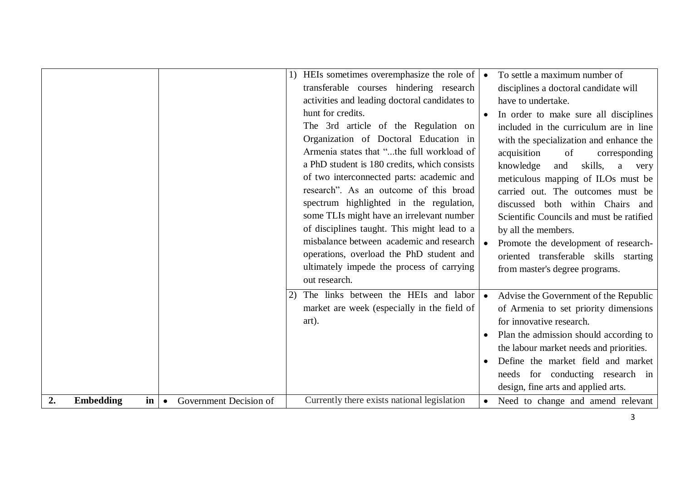|    |                                   |           |                        |    | HEIs sometimes overemphasize the role of<br>transferable courses hindering research<br>activities and leading doctoral candidates to<br>hunt for credits.<br>The 3rd article of the Regulation on<br>Organization of Doctoral Education in<br>Armenia states that "the full workload of<br>a PhD student is 180 credits, which consists<br>of two interconnected parts: academic and<br>research". As an outcome of this broad<br>spectrum highlighted in the regulation,<br>some TLIs might have an irrelevant number<br>of disciplines taught. This might lead to a<br>misbalance between academic and research<br>operations, overload the PhD student and<br>ultimately impede the process of carrying<br>out research. |           | To settle a maximum number of<br>disciplines a doctoral candidate will<br>have to undertake.<br>In order to make sure all disciplines<br>included in the curriculum are in line<br>with the specialization and enhance the<br>acquisition<br>of<br>corresponding<br>knowledge<br>skills,<br>and<br>a<br>very<br>meticulous mapping of ILOs must be<br>carried out. The outcomes must be<br>discussed both within Chairs and<br>Scientific Councils and must be ratified<br>by all the members.<br>Promote the development of research-<br>oriented transferable skills starting<br>from master's degree programs. |
|----|-----------------------------------|-----------|------------------------|----|-----------------------------------------------------------------------------------------------------------------------------------------------------------------------------------------------------------------------------------------------------------------------------------------------------------------------------------------------------------------------------------------------------------------------------------------------------------------------------------------------------------------------------------------------------------------------------------------------------------------------------------------------------------------------------------------------------------------------------|-----------|-------------------------------------------------------------------------------------------------------------------------------------------------------------------------------------------------------------------------------------------------------------------------------------------------------------------------------------------------------------------------------------------------------------------------------------------------------------------------------------------------------------------------------------------------------------------------------------------------------------------|
|    |                                   |           |                        | 2) | The links between the HEIs and labor<br>market are week (especially in the field of<br>art).                                                                                                                                                                                                                                                                                                                                                                                                                                                                                                                                                                                                                                | $\bullet$ | Advise the Government of the Republic<br>of Armenia to set priority dimensions<br>for innovative research.<br>Plan the admission should according to<br>the labour market needs and priorities.<br>Define the market field and market<br>needs for conducting research in                                                                                                                                                                                                                                                                                                                                         |
| 2. | <b>Embedding</b><br>$\mathbf{in}$ | $\bullet$ | Government Decision of |    | Currently there exists national legislation                                                                                                                                                                                                                                                                                                                                                                                                                                                                                                                                                                                                                                                                                 | $\bullet$ | design, fine arts and applied arts.<br>Need to change and amend relevant                                                                                                                                                                                                                                                                                                                                                                                                                                                                                                                                          |
|    |                                   |           |                        |    |                                                                                                                                                                                                                                                                                                                                                                                                                                                                                                                                                                                                                                                                                                                             |           | 3                                                                                                                                                                                                                                                                                                                                                                                                                                                                                                                                                                                                                 |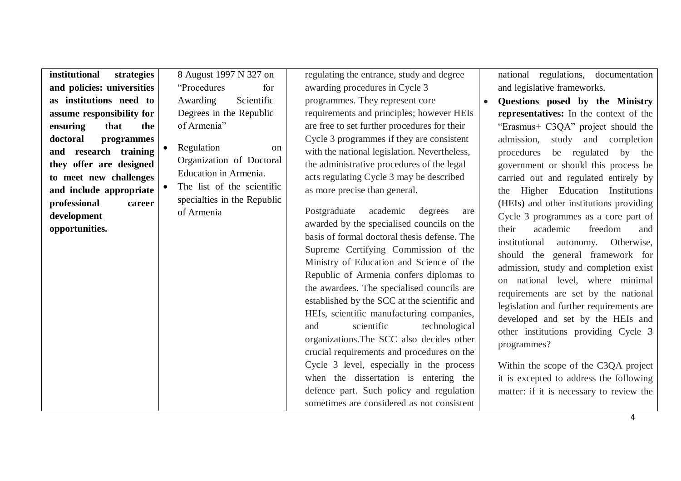| institutional<br>strategies | 8 August 1997 N 327 on      | regulating the entrance, study and degree    | national regulations, documentation          |
|-----------------------------|-----------------------------|----------------------------------------------|----------------------------------------------|
| and policies: universities  | "Procedures"<br>for         | awarding procedures in Cycle 3               | and legislative frameworks.                  |
| as institutions need to     | Scientific<br>Awarding      | programmes. They represent core              | Questions posed by the Ministry<br>$\bullet$ |
| assume responsibility for   | Degrees in the Republic     | requirements and principles; however HEIs    | representatives: In the context of the       |
| ensuring<br>that<br>the     | of Armenia"                 | are free to set further procedures for their | "Erasmus+ C3QA" project should the           |
| doctoral<br>programmes      |                             | Cycle 3 programmes if they are consistent    | admission,<br>study and completion           |
| and research training       | Regulation<br><sub>on</sub> | with the national legislation. Nevertheless, | procedures<br>be regulated<br>by the         |
| they offer are designed     | Organization of Doctoral    | the administrative procedures of the legal   | government or should this process be         |
| to meet new challenges      | Education in Armenia.       | acts regulating Cycle 3 may be described     | carried out and regulated entirely by        |
| and include appropriate     | The list of the scientific  | as more precise than general.                | Higher Education Institutions<br>the         |
| professional<br>career      | specialties in the Republic |                                              | (HEIs) and other institutions providing      |
| development                 | of Armenia                  | academic<br>Postgraduate<br>degrees<br>are   | Cycle 3 programmes as a core part of         |
| opportunities.              |                             | awarded by the specialised councils on the   | freedom<br>their<br>academic<br>and          |
|                             |                             | basis of formal doctoral thesis defense. The | institutional<br>Otherwise,<br>autonomy.     |
|                             |                             | Supreme Certifying Commission of the         | should the general framework for             |
|                             |                             | Ministry of Education and Science of the     | admission, study and completion exist        |
|                             |                             | Republic of Armenia confers diplomas to      | on national level, where minimal             |
|                             |                             | the awardees. The specialised councils are   |                                              |
|                             |                             | established by the SCC at the scientific and | requirements are set by the national         |
|                             |                             | HEIs, scientific manufacturing companies,    | legislation and further requirements are     |
|                             |                             | scientific<br>technological<br>and           | developed and set by the HEIs and            |
|                             |                             | organizations. The SCC also decides other    | other institutions providing Cycle 3         |
|                             |                             | crucial requirements and procedures on the   | programmes?                                  |
|                             |                             |                                              |                                              |
|                             |                             | Cycle 3 level, especially in the process     | Within the scope of the C3QA project         |
|                             |                             | when the dissertation is entering the        | it is excepted to address the following      |
|                             |                             | defence part. Such policy and regulation     | matter: if it is necessary to review the     |
|                             |                             | sometimes are considered as not consistent   |                                              |
|                             |                             |                                              | 4                                            |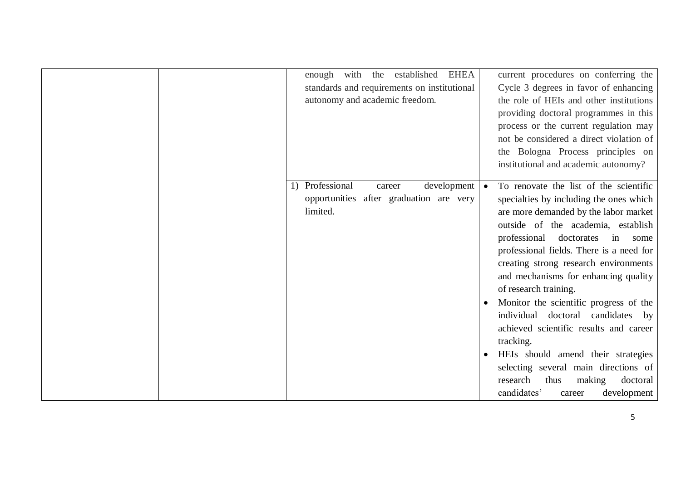|  | with<br>enough<br>standards and requirements on institutional<br>autonomy and academic freedom. | the    | established | <b>EHEA</b> | current procedures on conferring the<br>Cycle 3 degrees in favor of enhancing<br>the role of HEIs and other institutions<br>providing doctoral programmes in this<br>process or the current regulation may                                                                                                                                                                                                |
|--|-------------------------------------------------------------------------------------------------|--------|-------------|-------------|-----------------------------------------------------------------------------------------------------------------------------------------------------------------------------------------------------------------------------------------------------------------------------------------------------------------------------------------------------------------------------------------------------------|
|  |                                                                                                 |        |             |             | not be considered a direct violation of<br>the Bologna Process principles on<br>institutional and academic autonomy?                                                                                                                                                                                                                                                                                      |
|  | 1) Professional<br>opportunities after graduation are very<br>limited.                          | career |             | development | To renovate the list of the scientific<br>specialties by including the ones which<br>are more demanded by the labor market<br>outside of the academia, establish<br>professional doctorates<br>in<br>some<br>professional fields. There is a need for<br>creating strong research environments<br>and mechanisms for enhancing quality<br>of research training.<br>Monitor the scientific progress of the |
|  |                                                                                                 |        |             |             | individual<br>doctoral candidates<br>by<br>achieved scientific results and career<br>tracking.<br>HEIs should amend their strategies<br>selecting several main directions of<br>research<br>thus<br>making<br>doctoral<br>candidates'<br>development<br>career                                                                                                                                            |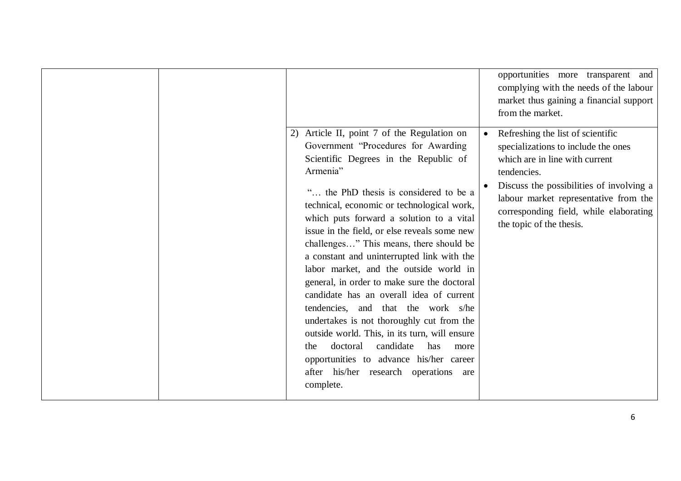|  | Article II, point 7 of the Regulation on<br>2)<br>Government "Procedures for Awarding<br>Scientific Degrees in the Republic of<br>Armenia"<br>" the PhD thesis is considered to be a<br>technical, economic or technological work,<br>which puts forward a solution to a vital<br>issue in the field, or else reveals some new<br>challenges" This means, there should be<br>a constant and uninterrupted link with the<br>labor market, and the outside world in<br>general, in order to make sure the doctoral<br>candidate has an overall idea of current<br>tendencies, and that the work s/he<br>undertakes is not thoroughly cut from the<br>outside world. This, in its turn, will ensure<br>candidate<br>doctoral<br>has<br>the<br>more<br>opportunities to advance his/her career<br>after his/her research operations<br>are | opportunities more transparent and<br>complying with the needs of the labour<br>market thus gaining a financial support<br>from the market.<br>Refreshing the list of scientific<br>specializations to include the ones<br>which are in line with current<br>tendencies.<br>Discuss the possibilities of involving a<br>labour market representative from the<br>corresponding field, while elaborating<br>the topic of the thesis. |
|--|----------------------------------------------------------------------------------------------------------------------------------------------------------------------------------------------------------------------------------------------------------------------------------------------------------------------------------------------------------------------------------------------------------------------------------------------------------------------------------------------------------------------------------------------------------------------------------------------------------------------------------------------------------------------------------------------------------------------------------------------------------------------------------------------------------------------------------------|-------------------------------------------------------------------------------------------------------------------------------------------------------------------------------------------------------------------------------------------------------------------------------------------------------------------------------------------------------------------------------------------------------------------------------------|
|  | complete.                                                                                                                                                                                                                                                                                                                                                                                                                                                                                                                                                                                                                                                                                                                                                                                                                              |                                                                                                                                                                                                                                                                                                                                                                                                                                     |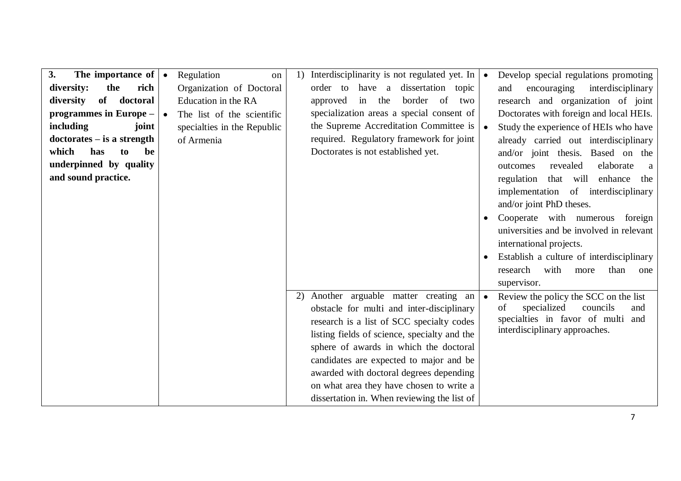| The importance of $\cdot$<br>3.<br>the<br>rich<br>diversity:<br>diversity<br>of doctoral<br>programmes in Europe -<br>including<br>joint<br>$dotorates - is a strength$<br>which<br>has<br>be<br>to | $\bullet$ | Regulation<br>on<br>Organization of Doctoral<br>Education in the RA<br>The list of the scientific<br>specialties in the Republic<br>of Armenia | 1) | Interdisciplinarity is not regulated yet. In $\bullet$<br>dissertation topic<br>order to have a<br>border of<br>in the<br>approved<br>two<br>specialization areas a special consent of<br>the Supreme Accreditation Committee is<br>required. Regulatory framework for joint<br>Doctorates is not established yet.                                                                                       | Develop special regulations promoting<br>encouraging<br>interdisciplinary<br>and<br>research and organization of joint<br>Doctorates with foreign and local HEIs.<br>Study the experience of HEIs who have<br>already carried out interdisciplinary<br>and/or joint thesis. Based on the                                                                            |
|-----------------------------------------------------------------------------------------------------------------------------------------------------------------------------------------------------|-----------|------------------------------------------------------------------------------------------------------------------------------------------------|----|----------------------------------------------------------------------------------------------------------------------------------------------------------------------------------------------------------------------------------------------------------------------------------------------------------------------------------------------------------------------------------------------------------|---------------------------------------------------------------------------------------------------------------------------------------------------------------------------------------------------------------------------------------------------------------------------------------------------------------------------------------------------------------------|
| underpinned by quality<br>and sound practice.                                                                                                                                                       |           |                                                                                                                                                |    |                                                                                                                                                                                                                                                                                                                                                                                                          | revealed<br>elaborate<br>outcomes<br>a<br>regulation that will enhance<br>the<br>implementation of interdisciplinary<br>and/or joint PhD theses.<br>Cooperate with numerous<br>foreign<br>universities and be involved in relevant<br>international projects.<br>Establish a culture of interdisciplinary<br>research<br>with<br>than<br>more<br>one<br>supervisor. |
|                                                                                                                                                                                                     |           |                                                                                                                                                | 2) | Another arguable matter creating an<br>obstacle for multi and inter-disciplinary<br>research is a list of SCC specialty codes<br>listing fields of science, specialty and the<br>sphere of awards in which the doctoral<br>candidates are expected to major and be<br>awarded with doctoral degrees depending<br>on what area they have chosen to write a<br>dissertation in. When reviewing the list of | Review the policy the SCC on the list<br>specialized<br>councils<br>and<br>of<br>specialties in favor of multi and<br>interdisciplinary approaches.                                                                                                                                                                                                                 |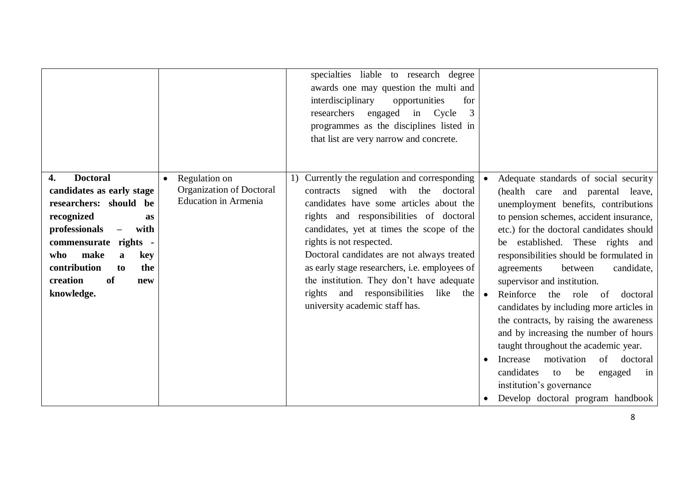|                                                                                                                                                                                                                                                                                          |                                                                          | specialties liable to research degree<br>awards one may question the multi and<br>interdisciplinary<br>opportunities<br>for<br>researchers<br>engaged<br>in Cycle<br>3<br>programmes as the disciplines listed in<br>that list are very narrow and concrete.                                                                                                                                                                                                                            |                                                                                                                                                                                                                                                                                                                                                                                                                                                                                                                                                                                                                                                                                                                                                       |
|------------------------------------------------------------------------------------------------------------------------------------------------------------------------------------------------------------------------------------------------------------------------------------------|--------------------------------------------------------------------------|-----------------------------------------------------------------------------------------------------------------------------------------------------------------------------------------------------------------------------------------------------------------------------------------------------------------------------------------------------------------------------------------------------------------------------------------------------------------------------------------|-------------------------------------------------------------------------------------------------------------------------------------------------------------------------------------------------------------------------------------------------------------------------------------------------------------------------------------------------------------------------------------------------------------------------------------------------------------------------------------------------------------------------------------------------------------------------------------------------------------------------------------------------------------------------------------------------------------------------------------------------------|
| <b>Doctoral</b><br>4.<br>candidates as early stage<br>researchers: should be<br>recognized<br>as<br>professionals<br>with<br>$\overline{\phantom{0}}$<br>commensurate rights -<br>make<br>who<br>key<br>$\mathbf{a}$<br>contribution<br>the<br>to<br>creation<br>of<br>new<br>knowledge. | Regulation on<br>Organization of Doctoral<br><b>Education in Armenia</b> | 1) Currently the regulation and corresponding<br>signed with the<br>doctoral<br>contracts<br>candidates have some articles about the<br>rights and responsibilities of doctoral<br>candidates, yet at times the scope of the<br>rights is not respected.<br>Doctoral candidates are not always treated<br>as early stage researchers, i.e. employees of<br>the institution. They don't have adequate<br>rights<br>and responsibilities<br>like<br>the<br>university academic staff has. | Adequate standards of social security<br>(health care and parental leave,<br>unemployment benefits, contributions<br>to pension schemes, accident insurance,<br>etc.) for the doctoral candidates should<br>be established. These rights and<br>responsibilities should be formulated in<br>candidate,<br>between<br>agreements<br>supervisor and institution.<br>Reinforce<br>the role<br>doctoral<br>$\bullet$<br>- of<br>candidates by including more articles in<br>the contracts, by raising the awareness<br>and by increasing the number of hours<br>taught throughout the academic year.<br>motivation<br>of doctoral<br>Increase<br>candidates<br>be<br>to<br>engaged<br>in<br>institution's governance<br>Develop doctoral program handbook |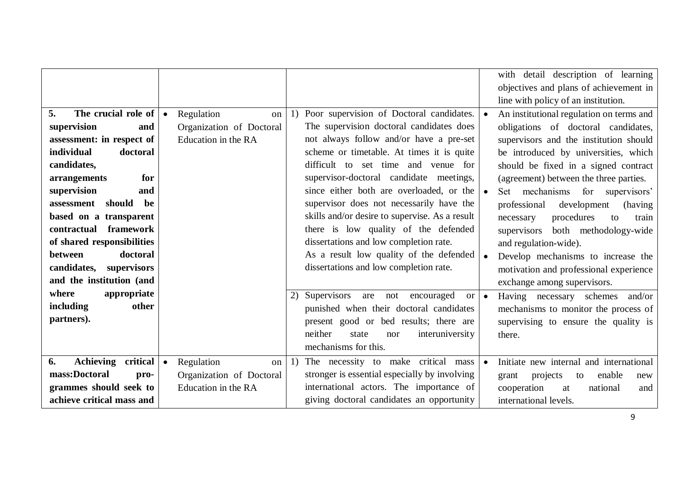|                                                                                                                                                                                                                                                                                                                                                                    |           |                                                                     |    |                                                                                                                                                                                                                                                                                                                                                                                                                                                                                                                                                                                 |           | with detail description of learning<br>objectives and plans of achievement in                                                                                                                                                                                                                                                                                                                                                                                                                                                                                      |
|--------------------------------------------------------------------------------------------------------------------------------------------------------------------------------------------------------------------------------------------------------------------------------------------------------------------------------------------------------------------|-----------|---------------------------------------------------------------------|----|---------------------------------------------------------------------------------------------------------------------------------------------------------------------------------------------------------------------------------------------------------------------------------------------------------------------------------------------------------------------------------------------------------------------------------------------------------------------------------------------------------------------------------------------------------------------------------|-----------|--------------------------------------------------------------------------------------------------------------------------------------------------------------------------------------------------------------------------------------------------------------------------------------------------------------------------------------------------------------------------------------------------------------------------------------------------------------------------------------------------------------------------------------------------------------------|
| The crucial role of<br>5.<br>supervision<br>and<br>assessment: in respect of<br>individual<br>doctoral<br>candidates,<br>arrangements<br>for<br>supervision<br>and<br>should<br>be<br>assessment<br>based on a transparent<br>contractual framework<br>of shared responsibilities<br>between<br>doctoral<br>candidates,<br>supervisors<br>and the institution (and | $\bullet$ | Regulation<br>on<br>Organization of Doctoral<br>Education in the RA | 1) | Poor supervision of Doctoral candidates.<br>The supervision doctoral candidates does<br>not always follow and/or have a pre-set<br>scheme or timetable. At times it is quite<br>difficult to set time and venue for<br>supervisor-doctoral candidate meetings,<br>since either both are overloaded, or the<br>supervisor does not necessarily have the<br>skills and/or desire to supervise. As a result<br>there is low quality of the defended<br>dissertations and low completion rate.<br>As a result low quality of the defended<br>dissertations and low completion rate. |           | line with policy of an institution.<br>An institutional regulation on terms and<br>obligations of doctoral candidates,<br>supervisors and the institution should<br>be introduced by universities, which<br>should be fixed in a signed contract<br>(agreement) between the three parties.<br>Set mechanisms for supervisors'<br>professional<br>development<br>(having<br>procedures<br>necessary<br>to<br>train<br>both methodology-wide<br>supervisors<br>and regulation-wide).<br>Develop mechanisms to increase the<br>motivation and professional experience |
| where<br>appropriate<br>including<br>other<br>partners).                                                                                                                                                                                                                                                                                                           |           |                                                                     | 2) | Supervisors<br>encouraged<br>are<br>not<br><sub>or</sub><br>punished when their doctoral candidates<br>present good or bed results; there are<br>neither<br>interuniversity<br>state<br>nor<br>mechanisms for this.                                                                                                                                                                                                                                                                                                                                                             | $\bullet$ | exchange among supervisors.<br>Having necessary schemes<br>and/or<br>mechanisms to monitor the process of<br>supervising to ensure the quality is<br>there.                                                                                                                                                                                                                                                                                                                                                                                                        |
| Achieving critical<br>6.<br>mass:Doctoral<br>pro-<br>grammes should seek to<br>achieve critical mass and                                                                                                                                                                                                                                                           | $\bullet$ | Regulation<br>on<br>Organization of Doctoral<br>Education in the RA | 1) | The necessity to make critical mass<br>stronger is essential especially by involving<br>international actors. The importance of<br>giving doctoral candidates an opportunity                                                                                                                                                                                                                                                                                                                                                                                                    |           | Initiate new internal and international<br>projects<br>enable<br>to<br>grant<br>new<br>cooperation<br>national<br>at<br>and<br>international levels.                                                                                                                                                                                                                                                                                                                                                                                                               |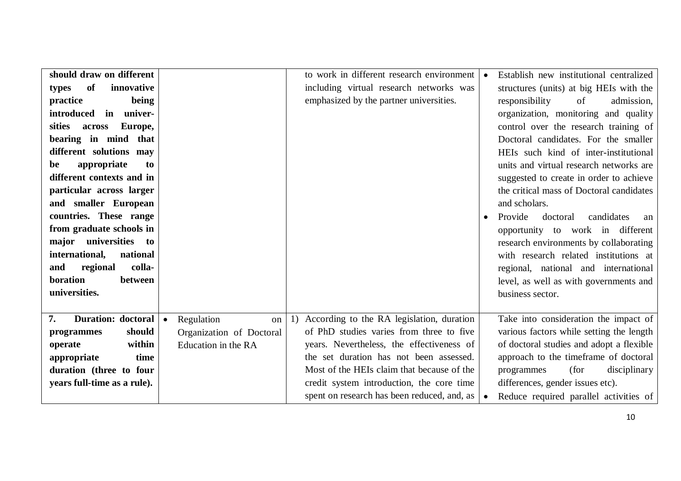| should draw on different    |                               | to work in different research environment       |                  | Establish new institutional centralized  |
|-----------------------------|-------------------------------|-------------------------------------------------|------------------|------------------------------------------|
| of<br>innovative<br>types   |                               | including virtual research networks was         |                  | structures (units) at big HEIs with the  |
| practice<br>being           |                               | emphasized by the partner universities.         | responsibility   | of<br>admission,                         |
| introduced<br>in univer-    |                               |                                                 |                  | organization, monitoring and quality     |
| Europe,<br>sities<br>across |                               |                                                 |                  | control over the research training of    |
| bearing in mind that        |                               |                                                 |                  | Doctoral candidates. For the smaller     |
| different solutions may     |                               |                                                 |                  | HEIs such kind of inter-institutional    |
| appropriate<br>be<br>to     |                               |                                                 |                  | units and virtual research networks are  |
| different contexts and in   |                               |                                                 |                  | suggested to create in order to achieve  |
| particular across larger    |                               |                                                 |                  | the critical mass of Doctoral candidates |
| and smaller European        |                               |                                                 | and scholars.    |                                          |
| countries. These range      |                               |                                                 | Provide          | candidates<br>doctoral<br>an             |
| from graduate schools in    |                               |                                                 |                  | opportunity to work in different         |
| major universities to       |                               |                                                 |                  | research environments by collaborating   |
| international,<br>national  |                               |                                                 |                  | with research related institutions at    |
| colla-<br>regional<br>and   |                               |                                                 |                  | regional, national and international     |
| boration<br>between         |                               |                                                 |                  | level, as well as with governments and   |
| universities.               |                               |                                                 | business sector. |                                          |
|                             |                               |                                                 |                  |                                          |
| Duration: doctoral<br>7.    | Regulation<br>$\bullet$<br>on | According to the RA legislation, duration<br>1) |                  | Take into consideration the impact of    |
| should<br>programmes        | Organization of Doctoral      | of PhD studies varies from three to five        |                  | various factors while setting the length |
| within<br>operate           | Education in the RA           | years. Nevertheless, the effectiveness of       |                  | of doctoral studies and adopt a flexible |
| appropriate<br>time         |                               | the set duration has not been assessed.         |                  | approach to the timeframe of doctoral    |
| duration (three to four     |                               | Most of the HEIs claim that because of the      | programmes       | (for<br>disciplinary                     |
| years full-time as a rule). |                               | credit system introduction, the core time       |                  | differences, gender issues etc).         |
|                             |                               | spent on research has been reduced, and, as     |                  | Reduce required parallel activities of   |
|                             |                               |                                                 |                  |                                          |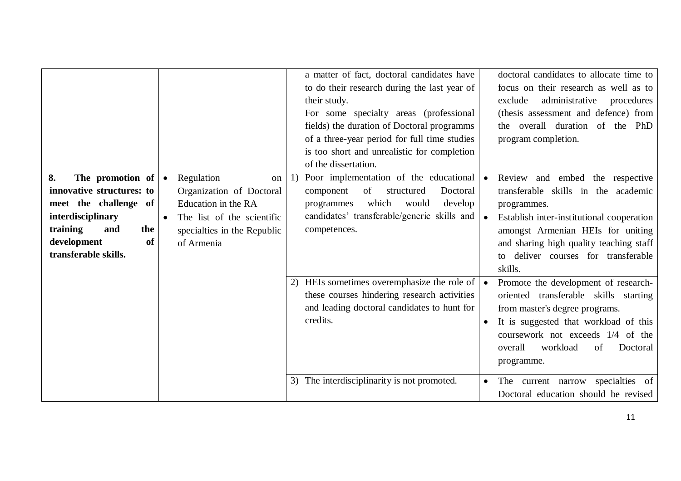|                           |           |                             |    | a matter of fact, doctoral candidates have   |           | doctoral candidates to allocate time to   |
|---------------------------|-----------|-----------------------------|----|----------------------------------------------|-----------|-------------------------------------------|
|                           |           |                             |    | to do their research during the last year of |           | focus on their research as well as to     |
|                           |           |                             |    | their study.                                 |           | exclude<br>administrative<br>procedures   |
|                           |           |                             |    | For some specialty areas (professional       |           | (thesis assessment and defence) from      |
|                           |           |                             |    | fields) the duration of Doctoral programms   |           | the overall duration of the PhD           |
|                           |           |                             |    | of a three-year period for full time studies |           | program completion.                       |
|                           |           |                             |    | is too short and unrealistic for completion  |           |                                           |
|                           |           |                             |    | of the dissertation.                         |           |                                           |
| 8.<br>The promotion of    | $\bullet$ | Regulation<br><sub>on</sub> |    | Poor implementation of the educational       |           | and embed<br>Review<br>the respective     |
| innovative structures: to |           | Organization of Doctoral    |    | of<br>Doctoral<br>component<br>structured    |           | transferable skills in the academic       |
| meet the challenge of     |           | Education in the RA         |    | which<br>would<br>develop<br>programmes      |           | programmes.                               |
| interdisciplinary         | $\bullet$ | The list of the scientific  |    | candidates' transferable/generic skills and  |           | Establish inter-institutional cooperation |
| training<br>and<br>the    |           | specialties in the Republic |    | competences.                                 |           | amongst Armenian HEIs for uniting         |
| of<br>development         |           | of Armenia                  |    |                                              |           | and sharing high quality teaching staff   |
| transferable skills.      |           |                             |    |                                              |           | deliver courses for transferable<br>to    |
|                           |           |                             |    |                                              |           | skills.                                   |
|                           |           |                             |    |                                              |           |                                           |
|                           |           |                             | 2) | HEIs sometimes overemphasize the role of     |           | Promote the development of research-      |
|                           |           |                             |    | these courses hindering research activities  |           | oriented transferable skills starting     |
|                           |           |                             |    | and leading doctoral candidates to hunt for  |           | from master's degree programs.            |
|                           |           |                             |    | credits.                                     |           | It is suggested that workload of this     |
|                           |           |                             |    |                                              |           | coursework not exceeds 1/4 of the         |
|                           |           |                             |    |                                              |           | workload<br>overall<br>Doctoral<br>of     |
|                           |           |                             |    |                                              |           |                                           |
|                           |           |                             |    |                                              |           | programme.                                |
|                           |           |                             |    | 3) The interdisciplinarity is not promoted.  | $\bullet$ | specialties of<br>The current narrow      |
|                           |           |                             |    |                                              |           | Doctoral education should be revised      |
|                           |           |                             |    |                                              |           |                                           |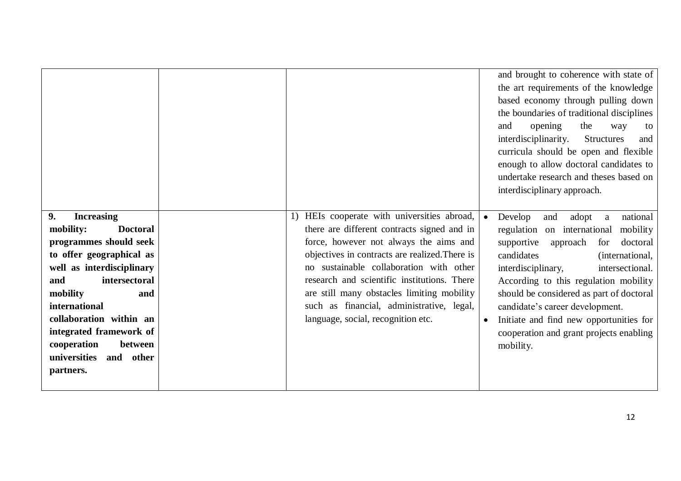|                                                                                                                                                                                                                                                                                        |                                                                                                                                                                                                                                                                                                                                                                                                                | and brought to coherence with state of<br>the art requirements of the knowledge<br>based economy through pulling down<br>the boundaries of traditional disciplines<br>the<br>opening<br>and<br>way<br>to<br>interdisciplinarity.<br><b>Structures</b><br>and<br>curricula should be open and flexible<br>enough to allow doctoral candidates to<br>undertake research and theses based on<br>interdisciplinary approach.              |
|----------------------------------------------------------------------------------------------------------------------------------------------------------------------------------------------------------------------------------------------------------------------------------------|----------------------------------------------------------------------------------------------------------------------------------------------------------------------------------------------------------------------------------------------------------------------------------------------------------------------------------------------------------------------------------------------------------------|---------------------------------------------------------------------------------------------------------------------------------------------------------------------------------------------------------------------------------------------------------------------------------------------------------------------------------------------------------------------------------------------------------------------------------------|
| 9.<br><b>Increasing</b><br><b>Doctoral</b><br>mobility:<br>programmes should seek<br>to offer geographical as<br>well as interdisciplinary<br>intersectoral<br>and<br>mobility<br>and<br>international<br>collaboration within an<br>integrated framework of<br>between<br>cooperation | HEIs cooperate with universities abroad,<br>there are different contracts signed and in<br>force, however not always the aims and<br>objectives in contracts are realized. There is<br>no sustainable collaboration with other<br>research and scientific institutions. There<br>are still many obstacles limiting mobility<br>such as financial, administrative, legal,<br>language, social, recognition etc. | Develop<br>national<br>adopt<br>and<br>a<br>regulation on international<br>mobility<br>supportive<br>doctoral<br>approach<br>for<br>candidates<br>(international,<br>interdisciplinary,<br>intersectional.<br>According to this regulation mobility<br>should be considered as part of doctoral<br>candidate's career development.<br>Initiate and find new opportunities for<br>cooperation and grant projects enabling<br>mobility. |
| universities<br>and other<br>partners.                                                                                                                                                                                                                                                 |                                                                                                                                                                                                                                                                                                                                                                                                                |                                                                                                                                                                                                                                                                                                                                                                                                                                       |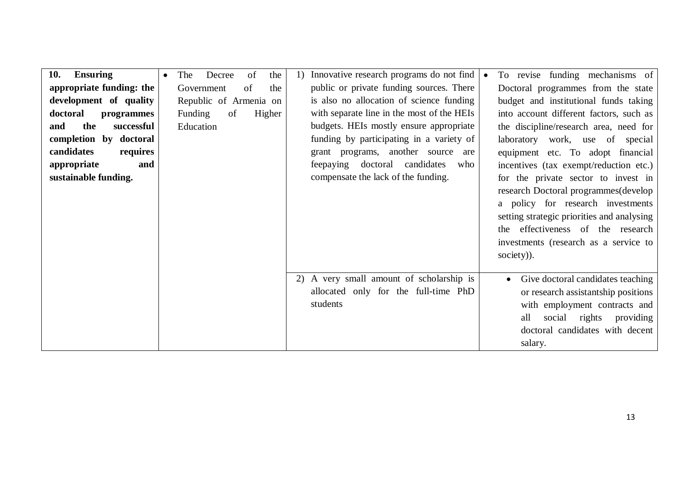| <b>Ensuring</b><br>10.   | The<br>Decree<br>of<br>the<br>$\bullet$ | Innovative research programs do not find<br>1) | To revise funding mechanisms of                |
|--------------------------|-----------------------------------------|------------------------------------------------|------------------------------------------------|
| appropriate funding: the | of<br>Government<br>the                 | public or private funding sources. There       | Doctoral programmes from the state             |
| development of quality   | Republic of Armenia on                  | is also no allocation of science funding       | budget and institutional funds taking          |
| doctoral<br>programmes   | of<br>Funding<br>Higher                 | with separate line in the most of the HEIs     | into account different factors, such as        |
| the<br>successful<br>and | Education                               | budgets. HEIs mostly ensure appropriate        | the discipline/research area, need for         |
| completion by doctoral   |                                         | funding by participating in a variety of       | laboratory work, use of special                |
| candidates<br>requires   |                                         | grant programs, another source are             | equipment etc. To adopt financial              |
| appropriate<br>and       |                                         | feepaying doctoral candidates<br>who           | incentives (tax exempt/reduction etc.)         |
| sustainable funding.     |                                         | compensate the lack of the funding.            | for the private sector to invest in            |
|                          |                                         |                                                | research Doctoral programmes(develop           |
|                          |                                         |                                                | a policy for research investments              |
|                          |                                         |                                                | setting strategic priorities and analysing     |
|                          |                                         |                                                | the effectiveness of the research              |
|                          |                                         |                                                | investments (research as a service to          |
|                          |                                         |                                                | society)).                                     |
|                          |                                         |                                                |                                                |
|                          |                                         | A very small amount of scholarship is<br>2)    | Give doctoral candidates teaching<br>$\bullet$ |
|                          |                                         | allocated only for the full-time PhD           | or research assistantship positions            |
|                          |                                         | students                                       | with employment contracts and                  |
|                          |                                         |                                                | social<br>all<br>rights<br>providing           |
|                          |                                         |                                                | doctoral candidates with decent                |
|                          |                                         |                                                | salary.                                        |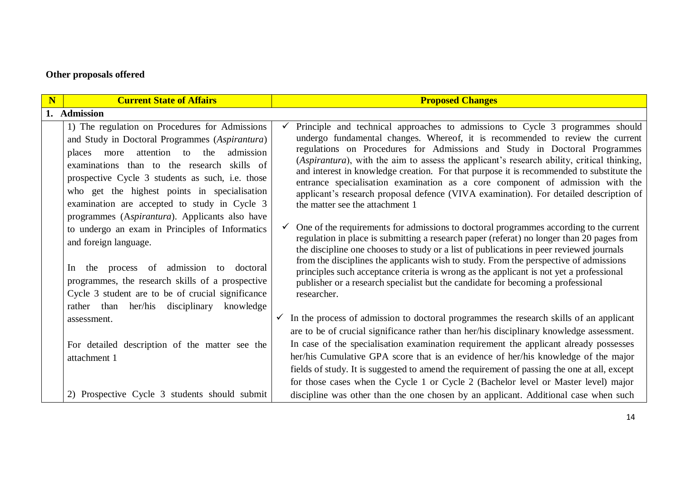## **Other proposals offered**

| N | <b>Current State of Affairs</b>                                                                                                                                                                                                                                                                                                                                                                                                                                                                                                                                                                                                                                                                    | <b>Proposed Changes</b>                                                                                                                                                                                                                                                                                                                                                                                                                                                                                                                                                                                                                                                                                                                                                                                                                                                                                                                                                                                                                                                                                                                                                                                                                  |  |  |
|---|----------------------------------------------------------------------------------------------------------------------------------------------------------------------------------------------------------------------------------------------------------------------------------------------------------------------------------------------------------------------------------------------------------------------------------------------------------------------------------------------------------------------------------------------------------------------------------------------------------------------------------------------------------------------------------------------------|------------------------------------------------------------------------------------------------------------------------------------------------------------------------------------------------------------------------------------------------------------------------------------------------------------------------------------------------------------------------------------------------------------------------------------------------------------------------------------------------------------------------------------------------------------------------------------------------------------------------------------------------------------------------------------------------------------------------------------------------------------------------------------------------------------------------------------------------------------------------------------------------------------------------------------------------------------------------------------------------------------------------------------------------------------------------------------------------------------------------------------------------------------------------------------------------------------------------------------------|--|--|
|   | 1. Admission                                                                                                                                                                                                                                                                                                                                                                                                                                                                                                                                                                                                                                                                                       |                                                                                                                                                                                                                                                                                                                                                                                                                                                                                                                                                                                                                                                                                                                                                                                                                                                                                                                                                                                                                                                                                                                                                                                                                                          |  |  |
|   | 1) The regulation on Procedures for Admissions<br>and Study in Doctoral Programmes (Aspirantura)<br>the<br>admission<br>attention to<br>places<br>more<br>examinations than to the research skills of<br>prospective Cycle 3 students as such, i.e. those<br>who get the highest points in specialisation<br>examination are accepted to study in Cycle 3<br>programmes (Aspirantura). Applicants also have<br>to undergo an exam in Principles of Informatics<br>and foreign language.<br>the process of admission to doctoral<br>In<br>programmes, the research skills of a prospective<br>Cycle 3 student are to be of crucial significance<br>knowledge<br>rather than her/his<br>disciplinary | Principle and technical approaches to admissions to Cycle 3 programmes should<br>undergo fundamental changes. Whereof, it is recommended to review the current<br>regulations on Procedures for Admissions and Study in Doctoral Programmes<br>(Aspirantura), with the aim to assess the applicant's research ability, critical thinking,<br>and interest in knowledge creation. For that purpose it is recommended to substitute the<br>entrance specialisation examination as a core component of admission with the<br>applicant's research proposal defence (VIVA examination). For detailed description of<br>the matter see the attachment 1<br>$\checkmark$ One of the requirements for admissions to doctoral programmes according to the current<br>regulation in place is submitting a research paper (referat) no longer than 20 pages from<br>the discipline one chooses to study or a list of publications in peer reviewed journals<br>from the disciplines the applicants wish to study. From the perspective of admissions<br>principles such acceptance criteria is wrong as the applicant is not yet a professional<br>publisher or a research specialist but the candidate for becoming a professional<br>researcher. |  |  |
|   | assessment.                                                                                                                                                                                                                                                                                                                                                                                                                                                                                                                                                                                                                                                                                        | In the process of admission to doctoral programmes the research skills of an applicant<br>are to be of crucial significance rather than her/his disciplinary knowledge assessment.                                                                                                                                                                                                                                                                                                                                                                                                                                                                                                                                                                                                                                                                                                                                                                                                                                                                                                                                                                                                                                                       |  |  |
|   | For detailed description of the matter see the<br>attachment 1                                                                                                                                                                                                                                                                                                                                                                                                                                                                                                                                                                                                                                     | In case of the specialisation examination requirement the applicant already possesses<br>her/his Cumulative GPA score that is an evidence of her/his knowledge of the major<br>fields of study. It is suggested to amend the requirement of passing the one at all, except<br>for those cases when the Cycle 1 or Cycle 2 (Bachelor level or Master level) major                                                                                                                                                                                                                                                                                                                                                                                                                                                                                                                                                                                                                                                                                                                                                                                                                                                                         |  |  |
|   | 2) Prospective Cycle 3 students should submit                                                                                                                                                                                                                                                                                                                                                                                                                                                                                                                                                                                                                                                      | discipline was other than the one chosen by an applicant. Additional case when such                                                                                                                                                                                                                                                                                                                                                                                                                                                                                                                                                                                                                                                                                                                                                                                                                                                                                                                                                                                                                                                                                                                                                      |  |  |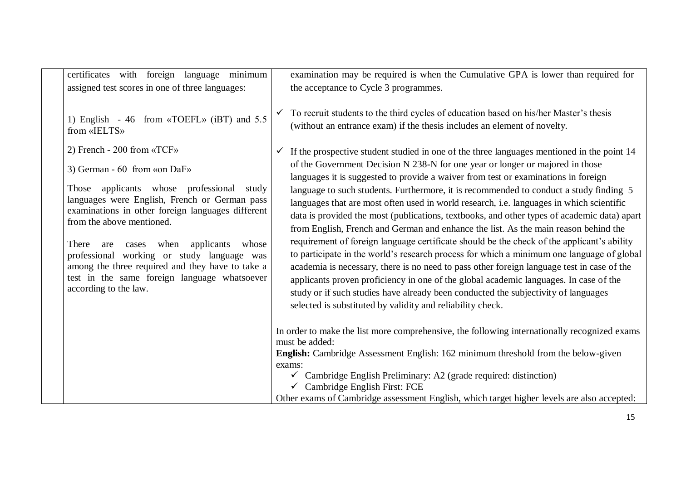certificates with foreign language minimum assigned test scores in one of three languages:

1) English - 46 from «TOEFL» (iBT) and 5.5 from «IELTS»

2) French - 200 from «TCF»

3) German - 60 from «on DaF»

Those applicants whose professional study languages were English, French or German pass examinations in other foreign languages different from the above mentioned.

There are cases when applicants whose professional working or study language was among the three required and they have to take a test in the same foreign language whatsoever according to the law.

examination may be required is when the Cumulative GPA is lower than required for the acceptance to Cycle 3 programmes.

 $\checkmark$  To recruit students to the third cycles of education based on his/her Master's thesis (without an entrance exam) if the thesis includes an element of novelty.

 $\checkmark$  If the prospective student studied in one of the three languages mentioned in the point 14 of the Government Decision N 238-N for one year or longer or majored in those languages it is suggested to provide a waiver from test or examinations in foreign language to such students. Furthermore, it is recommended to conduct a study finding 5 languages that are most often used in world research, i.e. languages in which scientific data is provided the most (publications, textbooks, and other types of academic data) apart from English, French and German and enhance the list. As the main reason behind the requirement of foreign language certificate should be the check of the applicant's ability to participate in the world's research process for which a minimum one language of global academia is necessary, there is no need to pass other foreign language test in case of the applicants proven proficiency in one of the global academic languages. In case of the study or if such studies have already been conducted the subjectivity of languages selected is substituted by validity and reliability check.

In order to make the list more comprehensive, the following internationally recognized exams must be added:

**English:** Cambridge Assessment English: 162 minimum threshold from the below-given exams:

 $\checkmark$  Cambridge English Preliminary: A2 (grade required: distinction)

 $\checkmark$  Cambridge English First: FCE

Other exams of Cambridge assessment English, which target higher levels are also accepted: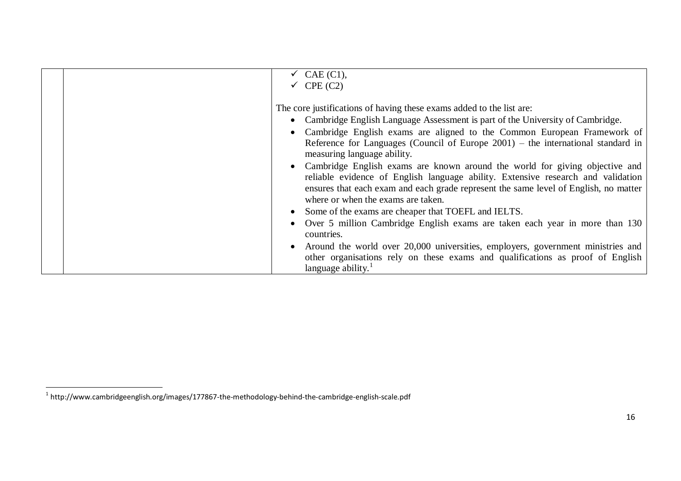| $\checkmark$ CAE (C1),<br>$\checkmark$ CPE (C2)                                                                                                                                                                                                                                                 |
|-------------------------------------------------------------------------------------------------------------------------------------------------------------------------------------------------------------------------------------------------------------------------------------------------|
|                                                                                                                                                                                                                                                                                                 |
| The core justifications of having these exams added to the list are:                                                                                                                                                                                                                            |
| • Cambridge English Language Assessment is part of the University of Cambridge.                                                                                                                                                                                                                 |
| • Cambridge English exams are aligned to the Common European Framework of                                                                                                                                                                                                                       |
| Reference for Languages (Council of Europe $2001$ ) – the international standard in<br>measuring language ability.                                                                                                                                                                              |
| • Cambridge English exams are known around the world for giving objective and<br>reliable evidence of English language ability. Extensive research and validation<br>ensures that each exam and each grade represent the same level of English, no matter<br>where or when the exams are taken. |
| • Some of the exams are cheaper that TOEFL and IELTS.                                                                                                                                                                                                                                           |
| Over 5 million Cambridge English exams are taken each year in more than 130<br>countries.                                                                                                                                                                                                       |
| • Around the world over 20,000 universities, employers, government ministries and<br>other organisations rely on these exams and qualifications as proof of English<br>language ability.                                                                                                        |

 1 http://www.cambridgeenglish.org/images/177867-the-methodology-behind-the-cambridge-english-scale.pdf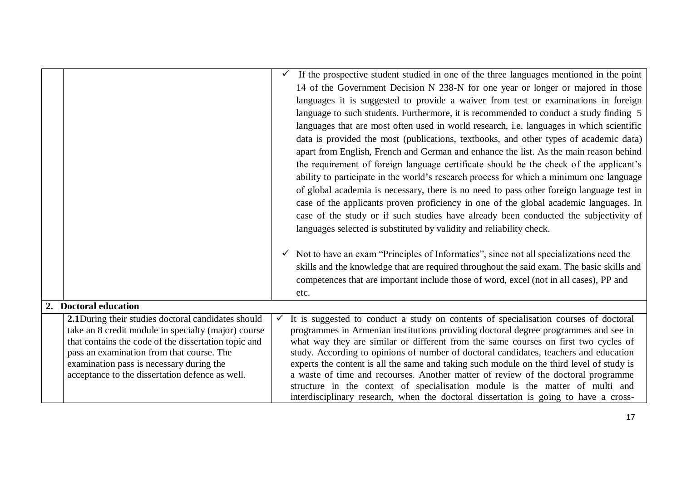|                                                                                       | If the prospective student studied in one of the three languages mentioned in the point                                                                                        |
|---------------------------------------------------------------------------------------|--------------------------------------------------------------------------------------------------------------------------------------------------------------------------------|
|                                                                                       | 14 of the Government Decision N 238-N for one year or longer or majored in those                                                                                               |
|                                                                                       | languages it is suggested to provide a waiver from test or examinations in foreign                                                                                             |
|                                                                                       | language to such students. Furthermore, it is recommended to conduct a study finding 5                                                                                         |
|                                                                                       | languages that are most often used in world research, i.e. languages in which scientific                                                                                       |
|                                                                                       | data is provided the most (publications, textbooks, and other types of academic data)                                                                                          |
|                                                                                       | apart from English, French and German and enhance the list. As the main reason behind                                                                                          |
|                                                                                       | the requirement of foreign language certificate should be the check of the applicant's                                                                                         |
|                                                                                       | ability to participate in the world's research process for which a minimum one language                                                                                        |
|                                                                                       | of global academia is necessary, there is no need to pass other foreign language test in                                                                                       |
|                                                                                       | case of the applicants proven proficiency in one of the global academic languages. In                                                                                          |
|                                                                                       | case of the study or if such studies have already been conducted the subjectivity of                                                                                           |
|                                                                                       |                                                                                                                                                                                |
|                                                                                       | languages selected is substituted by validity and reliability check.                                                                                                           |
|                                                                                       | $\checkmark$ Not to have an exam "Principles of Informatics", since not all specializations need the                                                                           |
|                                                                                       | skills and the knowledge that are required throughout the said exam. The basic skills and                                                                                      |
|                                                                                       | competences that are important include those of word, excel (not in all cases), PP and                                                                                         |
|                                                                                       |                                                                                                                                                                                |
| 2. Doctoral education                                                                 | etc.                                                                                                                                                                           |
|                                                                                       |                                                                                                                                                                                |
| 2.1During their studies doctoral candidates should                                    | It is suggested to conduct a study on contents of specialisation courses of doctoral                                                                                           |
| take an 8 credit module in specialty (major) course                                   | programmes in Armenian institutions providing doctoral degree programmes and see in                                                                                            |
| that contains the code of the dissertation topic and                                  | what way they are similar or different from the same courses on first two cycles of                                                                                            |
| pass an examination from that course. The<br>examination pass is necessary during the | study. According to opinions of number of doctoral candidates, teachers and education                                                                                          |
| acceptance to the dissertation defence as well.                                       | experts the content is all the same and taking such module on the third level of study is<br>a waste of time and recourses. Another matter of review of the doctoral programme |
|                                                                                       | structure in the context of specialisation module is the matter of multi and                                                                                                   |
|                                                                                       | interdisciplinary research, when the doctoral dissertation is going to have a cross-                                                                                           |
|                                                                                       |                                                                                                                                                                                |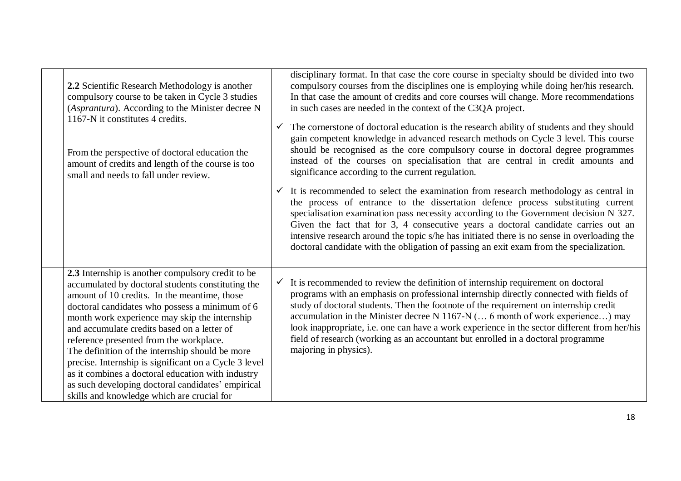| 2.2 Scientific Research Methodology is another<br>compulsory course to be taken in Cycle 3 studies<br>(Asprantura). According to the Minister decree N<br>1167-N it constitutes 4 credits.<br>From the perspective of doctoral education the<br>amount of credits and length of the course is too<br>small and needs to fall under review.                                                                                                                                                                                                                                                                              | $\checkmark$ | disciplinary format. In that case the core course in specialty should be divided into two<br>compulsory courses from the disciplines one is employing while doing her/his research.<br>In that case the amount of credits and core courses will change. More recommendations<br>in such cases are needed in the context of the C3QA project.<br>The cornerstone of doctoral education is the research ability of students and they should<br>gain competent knowledge in advanced research methods on Cycle 3 level. This course<br>should be recognised as the core compulsory course in doctoral degree programmes<br>instead of the courses on specialisation that are central in credit amounts and<br>significance according to the current regulation.<br>$\checkmark$ It is recommended to select the examination from research methodology as central in<br>the process of entrance to the dissertation defence process substituting current<br>specialisation examination pass necessity according to the Government decision N 327.<br>Given the fact that for 3, 4 consecutive years a doctoral candidate carries out an<br>intensive research around the topic s/he has initiated there is no sense in overloading the<br>doctoral candidate with the obligation of passing an exit exam from the specialization. |
|-------------------------------------------------------------------------------------------------------------------------------------------------------------------------------------------------------------------------------------------------------------------------------------------------------------------------------------------------------------------------------------------------------------------------------------------------------------------------------------------------------------------------------------------------------------------------------------------------------------------------|--------------|-------------------------------------------------------------------------------------------------------------------------------------------------------------------------------------------------------------------------------------------------------------------------------------------------------------------------------------------------------------------------------------------------------------------------------------------------------------------------------------------------------------------------------------------------------------------------------------------------------------------------------------------------------------------------------------------------------------------------------------------------------------------------------------------------------------------------------------------------------------------------------------------------------------------------------------------------------------------------------------------------------------------------------------------------------------------------------------------------------------------------------------------------------------------------------------------------------------------------------------------------------------------------------------------------------------------------------|
| 2.3 Internship is another compulsory credit to be<br>accumulated by doctoral students constituting the<br>amount of 10 credits. In the meantime, those<br>doctoral candidates who possess a minimum of 6<br>month work experience may skip the internship<br>and accumulate credits based on a letter of<br>reference presented from the workplace.<br>The definition of the internship should be more<br>precise. Internship is significant on a Cycle 3 level<br>as it combines a doctoral education with industry<br>as such developing doctoral candidates' empirical<br>skills and knowledge which are crucial for |              | $\checkmark$ It is recommended to review the definition of internship requirement on doctoral<br>programs with an emphasis on professional internship directly connected with fields of<br>study of doctoral students. Then the footnote of the requirement on internship credit<br>accumulation in the Minister decree N 1167-N ( 6 month of work experience) may<br>look inappropriate, i.e. one can have a work experience in the sector different from her/his<br>field of research (working as an accountant but enrolled in a doctoral programme<br>majoring in physics).                                                                                                                                                                                                                                                                                                                                                                                                                                                                                                                                                                                                                                                                                                                                               |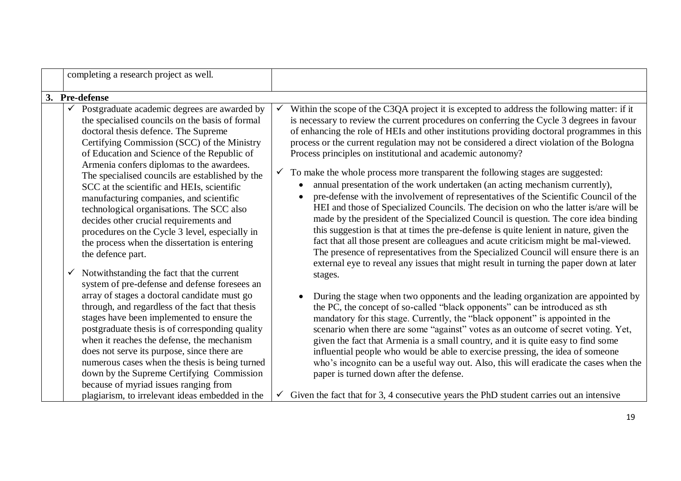| completing a research project as well.                                                                                                                                                                                                                                                                                                                                                                                                                                                                                                                                                                                                                                                                                                                                                                                                                                                                                                                                                                                                                                                                                                                                                                                                                                  |                                                                                                                                                                                                                                                                                                                                                                                                                                                                                                                                                                                                                                                                                                                                                                                                                                                                                                                                                                                                                                                                                                                                                                                                                                                                                                                                                                                                                                                                                                                                                                                                                                                                                                                                                                                                                                                                                                                                                                                                                                                                        |
|-------------------------------------------------------------------------------------------------------------------------------------------------------------------------------------------------------------------------------------------------------------------------------------------------------------------------------------------------------------------------------------------------------------------------------------------------------------------------------------------------------------------------------------------------------------------------------------------------------------------------------------------------------------------------------------------------------------------------------------------------------------------------------------------------------------------------------------------------------------------------------------------------------------------------------------------------------------------------------------------------------------------------------------------------------------------------------------------------------------------------------------------------------------------------------------------------------------------------------------------------------------------------|------------------------------------------------------------------------------------------------------------------------------------------------------------------------------------------------------------------------------------------------------------------------------------------------------------------------------------------------------------------------------------------------------------------------------------------------------------------------------------------------------------------------------------------------------------------------------------------------------------------------------------------------------------------------------------------------------------------------------------------------------------------------------------------------------------------------------------------------------------------------------------------------------------------------------------------------------------------------------------------------------------------------------------------------------------------------------------------------------------------------------------------------------------------------------------------------------------------------------------------------------------------------------------------------------------------------------------------------------------------------------------------------------------------------------------------------------------------------------------------------------------------------------------------------------------------------------------------------------------------------------------------------------------------------------------------------------------------------------------------------------------------------------------------------------------------------------------------------------------------------------------------------------------------------------------------------------------------------------------------------------------------------------------------------------------------------|
| 3. Pre-defense                                                                                                                                                                                                                                                                                                                                                                                                                                                                                                                                                                                                                                                                                                                                                                                                                                                                                                                                                                                                                                                                                                                                                                                                                                                          |                                                                                                                                                                                                                                                                                                                                                                                                                                                                                                                                                                                                                                                                                                                                                                                                                                                                                                                                                                                                                                                                                                                                                                                                                                                                                                                                                                                                                                                                                                                                                                                                                                                                                                                                                                                                                                                                                                                                                                                                                                                                        |
| Postgraduate academic degrees are awarded by<br>$\checkmark$<br>the specialised councils on the basis of formal<br>doctoral thesis defence. The Supreme<br>Certifying Commission (SCC) of the Ministry<br>of Education and Science of the Republic of<br>Armenia confers diplomas to the awardees.<br>The specialised councils are established by the<br>SCC at the scientific and HEIs, scientific<br>manufacturing companies, and scientific<br>technological organisations. The SCC also<br>decides other crucial requirements and<br>procedures on the Cycle 3 level, especially in<br>the process when the dissertation is entering<br>the defence part.<br>Notwithstanding the fact that the current<br>$\checkmark$<br>system of pre-defense and defense foresees an<br>array of stages a doctoral candidate must go<br>through, and regardless of the fact that thesis<br>stages have been implemented to ensure the<br>postgraduate thesis is of corresponding quality<br>when it reaches the defense, the mechanism<br>does not serve its purpose, since there are<br>numerous cases when the thesis is being turned<br>down by the Supreme Certifying Commission<br>because of myriad issues ranging from<br>plagiarism, to irrelevant ideas embedded in the | Within the scope of the C3QA project it is excepted to address the following matter: if it<br>$\checkmark$<br>is necessary to review the current procedures on conferring the Cycle 3 degrees in favour<br>of enhancing the role of HEIs and other institutions providing doctoral programmes in this<br>process or the current regulation may not be considered a direct violation of the Bologna<br>Process principles on institutional and academic autonomy?<br>To make the whole process more transparent the following stages are suggested:<br>$\checkmark$<br>annual presentation of the work undertaken (an acting mechanism currently),<br>pre-defense with the involvement of representatives of the Scientific Council of the<br>HEI and those of Specialized Councils. The decision on who the latter is/are will be<br>made by the president of the Specialized Council is question. The core idea binding<br>this suggestion is that at times the pre-defense is quite lenient in nature, given the<br>fact that all those present are colleagues and acute criticism might be mal-viewed.<br>The presence of representatives from the Specialized Council will ensure there is an<br>external eye to reveal any issues that might result in turning the paper down at later<br>stages.<br>During the stage when two opponents and the leading organization are appointed by<br>the PC, the concept of so-called "black opponents" can be introduced as sth<br>mandatory for this stage. Currently, the "black opponent" is appointed in the<br>scenario when there are some "against" votes as an outcome of secret voting. Yet,<br>given the fact that Armenia is a small country, and it is quite easy to find some<br>influential people who would be able to exercise pressing, the idea of someone<br>who's incognito can be a useful way out. Also, this will eradicate the cases when the<br>paper is turned down after the defense.<br>Given the fact that for 3, 4 consecutive years the PhD student carries out an intensive<br>$\checkmark$ |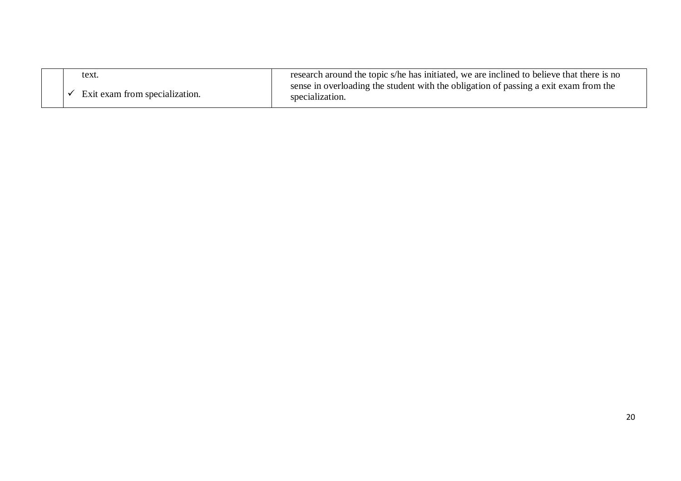| text.                          | research around the topic s/he has initiated, we are inclined to believe that there is no               |
|--------------------------------|---------------------------------------------------------------------------------------------------------|
| Exit exam from specialization. | sense in overloading the student with the obligation of passing a exit exam from the<br>specialization. |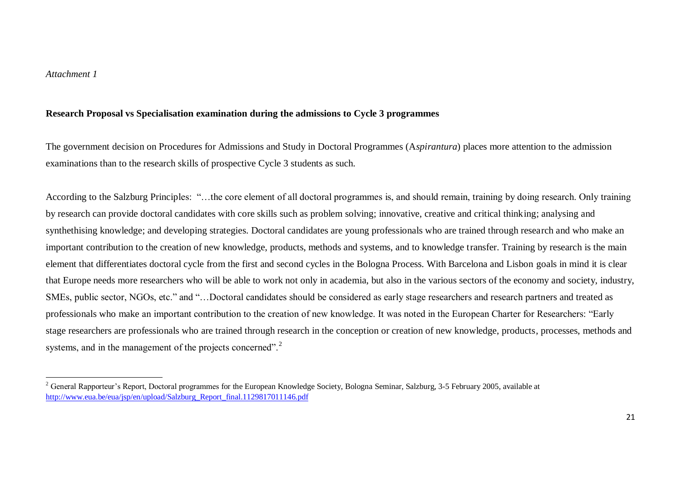$\overline{a}$ 

## **Research Proposal vs Specialisation examination during the admissions to Cycle 3 programmes**

The government decision on Procedures for Admissions and Study in Doctoral Programmes (A*spirantura*) places more attention to the admission examinations than to the research skills of prospective Cycle 3 students as such.

According to the Salzburg Principles: "…the core element of all doctoral programmes is, and should remain, training by doing research. Only training by research can provide doctoral candidates with core skills such as problem solving; innovative, creative and critical thinking; analysing and synthethising knowledge; and developing strategies. Doctoral candidates are young professionals who are trained through research and who make an important contribution to the creation of new knowledge, products, methods and systems, and to knowledge transfer. Training by research is the main element that differentiates doctoral cycle from the first and second cycles in the Bologna Process. With Barcelona and Lisbon goals in mind it is clear that Europe needs more researchers who will be able to work not only in academia, but also in the various sectors of the economy and society, industry, SMEs, public sector, NGOs, etc." and "…Doctoral candidates should be considered as early stage researchers and research partners and treated as professionals who make an important contribution to the creation of new knowledge. It was noted in the European Charter for Researchers: "Early stage researchers are professionals who are trained through research in the conception or creation of new knowledge, products, processes, methods and systems, and in the management of the projects concerned".<sup>2</sup>

 $^{2}$  General Rapporteur's Report, Doctoral programmes for the European Knowledge Society, Bologna Seminar, Salzburg, 3-5 February 2005, available at [http://www.eua.be/eua/jsp/en/upload/Salzburg\\_Report\\_final.1129817011146.pdf](http://www.eua.be/eua/jsp/en/upload/Salzburg_Report_final.1129817011146.pdf)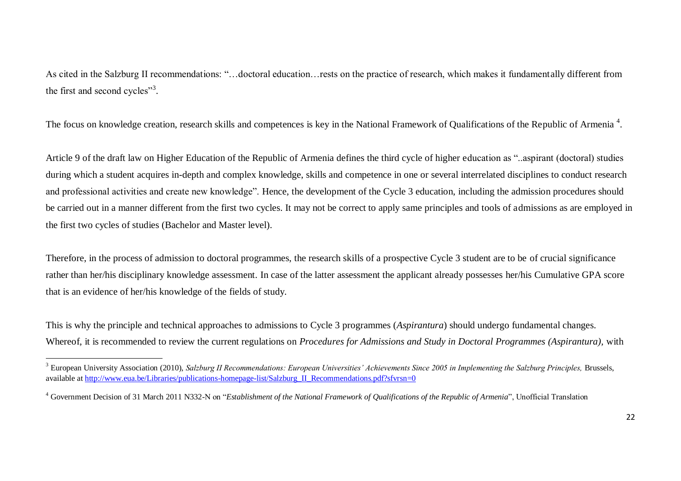As cited in the Salzburg II recommendations: "…doctoral education…rests on the practice of research, which makes it fundamentally different from the first and second cycles"<sup>3</sup>.

The focus on knowledge creation, research skills and competences is key in the National Framework of Qualifications of the Republic of Armenia<sup>4</sup>.

Article 9 of the draft law on Higher Education of the Republic of Armenia defines the third cycle of higher education as "..aspirant (doctoral) studies during which a student acquires in-depth and complex knowledge, skills and competence in one or several interrelated disciplines to conduct research and professional activities and create new knowledge". Hence, the development of the Cycle 3 education, including the admission procedures should be carried out in a manner different from the first two cycles. It may not be correct to apply same principles and tools of admissions as are employed in the first two cycles of studies (Bachelor and Master level).

Therefore, in the process of admission to doctoral programmes, the research skills of a prospective Cycle 3 student are to be of crucial significance rather than her/his disciplinary knowledge assessment. In case of the latter assessment the applicant already possesses her/his Cumulative GPA score that is an evidence of her/his knowledge of the fields of study.

This is why the principle and technical approaches to admissions to Cycle 3 programmes (*Aspirantura*) should undergo fundamental changes. Whereof, it is recommended to review the current regulations on *Procedures for Admissions and Study in Doctoral Programmes (Aspirantura),* with

 $\overline{a}$ 

<sup>&</sup>lt;sup>3</sup> European University Association (2010), *Salzburg II Recommendations: European Universities' Achievements Since 2005 in Implementing the Salzburg Principles, Brussels,* available at [http://www.eua.be/Libraries/publications-homepage-list/Salzburg\\_II\\_Recommendations.pdf?sfvrsn=0](http://www.eua.be/Libraries/publications-homepage-list/Salzburg_II_Recommendations.pdf?sfvrsn=0)

<sup>4</sup> Government Decision of 31 March 2011 N332-N on "*Establishment of the National Framework of Qualifications of the Republic of Armenia*", Unofficial Translation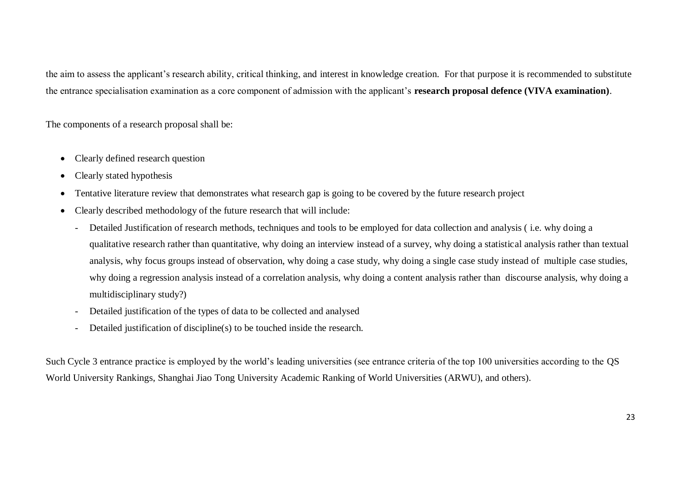the aim to assess the applicant's research ability, critical thinking, and interest in knowledge creation. For that purpose it is recommended to substitute the entrance specialisation examination as a core component of admission with the applicant's **research proposal defence (VIVA examination)**.

The components of a research proposal shall be:

- Clearly defined research question
- Clearly stated hypothesis
- Tentative literature review that demonstrates what research gap is going to be covered by the future research project
- Clearly described methodology of the future research that will include:
	- Detailed Justification of research methods, techniques and tools to be employed for data collection and analysis ( i.e. why doing a qualitative research rather than quantitative, why doing an interview instead of a survey, why doing a statistical analysis rather than textual analysis, why focus groups instead of observation, why doing a case study, why doing a single case study instead of multiple case studies, why doing a regression analysis instead of a correlation analysis, why doing a content analysis rather than discourse analysis, why doing a multidisciplinary study?)
	- Detailed justification of the types of data to be collected and analysed
	- Detailed justification of discipline(s) to be touched inside the research.

Such Cycle 3 entrance practice is employed by the world's leading universities (see entrance criteria of the top 100 universities according to the QS World University Rankings, Shanghai Jiao Tong University Academic Ranking of World Universities (ARWU), and others).